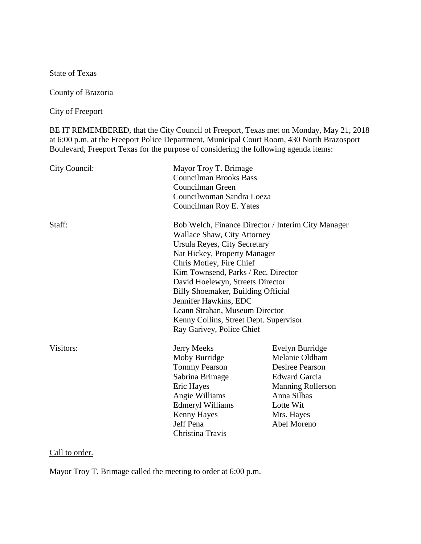State of Texas

County of Brazoria

City of Freeport

BE IT REMEMBERED, that the City Council of Freeport, Texas met on Monday, May 21, 2018 at 6:00 p.m. at the Freeport Police Department, Municipal Court Room, 430 North Brazosport Boulevard, Freeport Texas for the purpose of considering the following agenda items:

| City Council: | Mayor Troy T. Brimage<br><b>Councilman Brooks Bass</b><br>Councilman Green<br>Councilwoman Sandra Loeza<br>Councilman Roy E. Yates                                                                                                                                                                                                                                                                                                      |                                                                                                                                                                          |
|---------------|-----------------------------------------------------------------------------------------------------------------------------------------------------------------------------------------------------------------------------------------------------------------------------------------------------------------------------------------------------------------------------------------------------------------------------------------|--------------------------------------------------------------------------------------------------------------------------------------------------------------------------|
| Staff:        | Bob Welch, Finance Director / Interim City Manager<br><b>Wallace Shaw, City Attorney</b><br>Ursula Reyes, City Secretary<br>Nat Hickey, Property Manager<br>Chris Motley, Fire Chief<br>Kim Townsend, Parks / Rec. Director<br>David Hoelewyn, Streets Director<br>Billy Shoemaker, Building Official<br>Jennifer Hawkins, EDC<br>Leann Strahan, Museum Director<br>Kenny Collins, Street Dept. Supervisor<br>Ray Garivey, Police Chief |                                                                                                                                                                          |
| Visitors:     | <b>Jerry Meeks</b><br>Moby Burridge<br><b>Tommy Pearson</b><br>Sabrina Brimage<br>Eric Hayes<br>Angie Williams<br><b>Edmeryl Williams</b><br><b>Kenny Hayes</b><br>Jeff Pena<br>Christina Travis                                                                                                                                                                                                                                        | Evelyn Burridge<br>Melanie Oldham<br><b>Desiree Pearson</b><br><b>Edward Garcia</b><br><b>Manning Rollerson</b><br>Anna Silbas<br>Lotte Wit<br>Mrs. Hayes<br>Abel Moreno |

## Call to order.

Mayor Troy T. Brimage called the meeting to order at 6:00 p.m.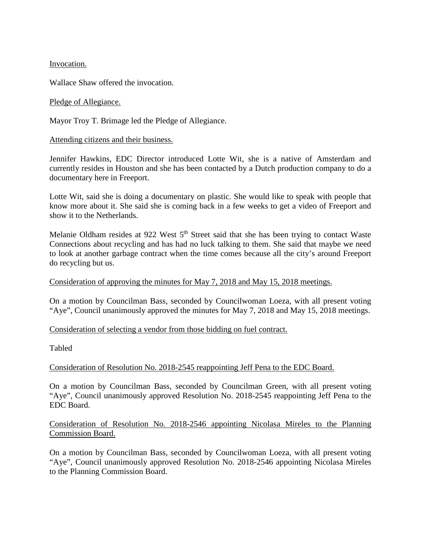Invocation.

Wallace Shaw offered the invocation.

## Pledge of Allegiance.

Mayor Troy T. Brimage led the Pledge of Allegiance.

## Attending citizens and their business.

Jennifer Hawkins, EDC Director introduced Lotte Wit, she is a native of Amsterdam and currently resides in Houston and she has been contacted by a Dutch production company to do a documentary here in Freeport.

Lotte Wit, said she is doing a documentary on plastic. She would like to speak with people that know more about it. She said she is coming back in a few weeks to get a video of Freeport and show it to the Netherlands.

Melanie Oldham resides at 922 West 5<sup>th</sup> Street said that she has been trying to contact Waste Connections about recycling and has had no luck talking to them. She said that maybe we need to look at another garbage contract when the time comes because all the city's around Freeport do recycling but us.

## Consideration of approving the minutes for May 7, 2018 and May 15, 2018 meetings.

On a motion by Councilman Bass, seconded by Councilwoman Loeza, with all present voting "Aye", Council unanimously approved the minutes for May 7, 2018 and May 15, 2018 meetings.

## Consideration of selecting a vendor from those bidding on fuel contract.

Tabled

# Consideration of Resolution No. 2018-2545 reappointing Jeff Pena to the EDC Board.

On a motion by Councilman Bass, seconded by Councilman Green, with all present voting "Aye", Council unanimously approved Resolution No. 2018-2545 reappointing Jeff Pena to the EDC Board.

# Consideration of Resolution No. 2018-2546 appointing Nicolasa Mireles to the Planning Commission Board.

On a motion by Councilman Bass, seconded by Councilwoman Loeza, with all present voting "Aye", Council unanimously approved Resolution No. 2018-2546 appointing Nicolasa Mireles to the Planning Commission Board.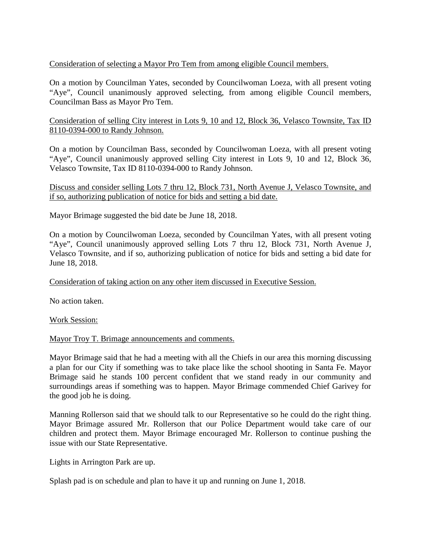# Consideration of selecting a Mayor Pro Tem from among eligible Council members.

On a motion by Councilman Yates, seconded by Councilwoman Loeza, with all present voting "Aye", Council unanimously approved selecting, from among eligible Council members, Councilman Bass as Mayor Pro Tem.

# Consideration of selling City interest in Lots 9, 10 and 12, Block 36, Velasco Townsite, Tax ID 8110-0394-000 to Randy Johnson.

On a motion by Councilman Bass, seconded by Councilwoman Loeza, with all present voting "Aye", Council unanimously approved selling City interest in Lots 9, 10 and 12, Block 36, Velasco Townsite, Tax ID 8110-0394-000 to Randy Johnson.

## Discuss and consider selling Lots 7 thru 12, Block 731, North Avenue J, Velasco Townsite, and if so, authorizing publication of notice for bids and setting a bid date.

Mayor Brimage suggested the bid date be June 18, 2018.

On a motion by Councilwoman Loeza, seconded by Councilman Yates, with all present voting "Aye", Council unanimously approved selling Lots 7 thru 12, Block 731, North Avenue J, Velasco Townsite, and if so, authorizing publication of notice for bids and setting a bid date for June 18, 2018.

# Consideration of taking action on any other item discussed in Executive Session.

No action taken.

Work Session:

## Mayor Troy T. Brimage announcements and comments.

Mayor Brimage said that he had a meeting with all the Chiefs in our area this morning discussing a plan for our City if something was to take place like the school shooting in Santa Fe. Mayor Brimage said he stands 100 percent confident that we stand ready in our community and surroundings areas if something was to happen. Mayor Brimage commended Chief Garivey for the good job he is doing.

Manning Rollerson said that we should talk to our Representative so he could do the right thing. Mayor Brimage assured Mr. Rollerson that our Police Department would take care of our children and protect them. Mayor Brimage encouraged Mr. Rollerson to continue pushing the issue with our State Representative.

Lights in Arrington Park are up.

Splash pad is on schedule and plan to have it up and running on June 1, 2018.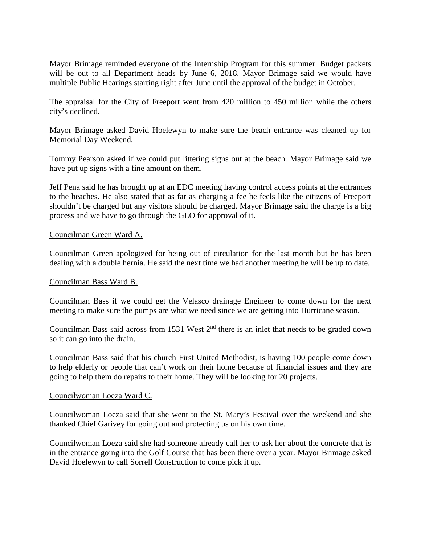Mayor Brimage reminded everyone of the Internship Program for this summer. Budget packets will be out to all Department heads by June 6, 2018. Mayor Brimage said we would have multiple Public Hearings starting right after June until the approval of the budget in October.

The appraisal for the City of Freeport went from 420 million to 450 million while the others city's declined.

Mayor Brimage asked David Hoelewyn to make sure the beach entrance was cleaned up for Memorial Day Weekend.

Tommy Pearson asked if we could put littering signs out at the beach. Mayor Brimage said we have put up signs with a fine amount on them.

Jeff Pena said he has brought up at an EDC meeting having control access points at the entrances to the beaches. He also stated that as far as charging a fee he feels like the citizens of Freeport shouldn't be charged but any visitors should be charged. Mayor Brimage said the charge is a big process and we have to go through the GLO for approval of it.

### Councilman Green Ward A.

Councilman Green apologized for being out of circulation for the last month but he has been dealing with a double hernia. He said the next time we had another meeting he will be up to date.

## Councilman Bass Ward B.

Councilman Bass if we could get the Velasco drainage Engineer to come down for the next meeting to make sure the pumps are what we need since we are getting into Hurricane season.

Councilman Bass said across from 1531 West  $2<sup>nd</sup>$  there is an inlet that needs to be graded down so it can go into the drain.

Councilman Bass said that his church First United Methodist, is having 100 people come down to help elderly or people that can't work on their home because of financial issues and they are going to help them do repairs to their home. They will be looking for 20 projects.

#### Councilwoman Loeza Ward C.

Councilwoman Loeza said that she went to the St. Mary's Festival over the weekend and she thanked Chief Garivey for going out and protecting us on his own time.

Councilwoman Loeza said she had someone already call her to ask her about the concrete that is in the entrance going into the Golf Course that has been there over a year. Mayor Brimage asked David Hoelewyn to call Sorrell Construction to come pick it up.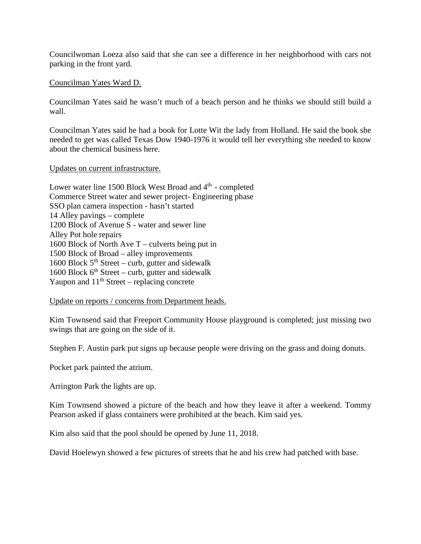Councilwoman Loeza also said that she can see a difference in her neighborhood with cars not parking in the front yard.

### Councilman Yates Ward D.

Councilman Yates said he wasn't much of a beach person and he thinks we should still build a wall.

Councilman Yates said he had a book for Lotte Wit the lady from Holland. He said the book she needed to get was called Texas Dow 1940-1976 it would tell her everything she needed to know about the chemical business here.

### Updates on current infrastructure.

Lower water line 1500 Block West Broad and 4<sup>th</sup> - completed Commerce Street water and sewer project- Engineering phase SSO plan camera inspection - hasn't started 14 Alley pavings – complete 1200 Block of Avenue S - water and sewer line Alley Pot hole repairs 1600 Block of North Ave T – culverts being put in 1500 Block of Broad – alley improvements 1600 Block  $5<sup>th</sup> Street - \text{curb}$ , gutter and sidewalk 1600 Block  $6<sup>th</sup> Street - \text{curb}$ , gutter and sidewalk Yaupon and  $11<sup>th</sup>$  Street – replacing concrete

Update on reports / concerns from Department heads.

Kim Townsend said that Freeport Community House playground is completed; just missing two swings that are going on the side of it.

Stephen F. Austin park put signs up because people were driving on the grass and doing donuts.

Pocket park painted the atrium.

Arrington Park the lights are up.

Kim Townsend showed a picture of the beach and how they leave it after a weekend. Tommy Pearson asked if glass containers were prohibited at the beach. Kim said yes.

Kim also said that the pool should be opened by June 11, 2018.

David Hoelewyn showed a few pictures of streets that he and his crew had patched with base.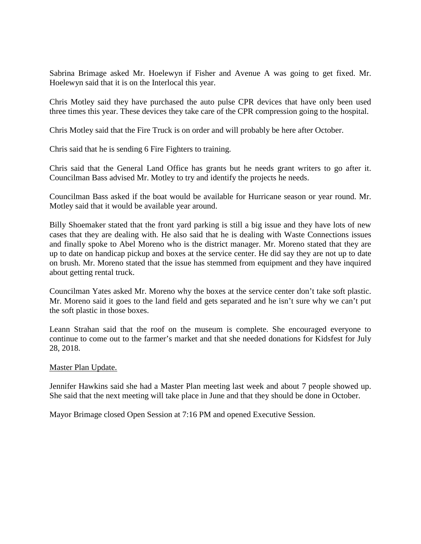Sabrina Brimage asked Mr. Hoelewyn if Fisher and Avenue A was going to get fixed. Mr. Hoelewyn said that it is on the Interlocal this year.

Chris Motley said they have purchased the auto pulse CPR devices that have only been used three times this year. These devices they take care of the CPR compression going to the hospital.

Chris Motley said that the Fire Truck is on order and will probably be here after October.

Chris said that he is sending 6 Fire Fighters to training.

Chris said that the General Land Office has grants but he needs grant writers to go after it. Councilman Bass advised Mr. Motley to try and identify the projects he needs.

Councilman Bass asked if the boat would be available for Hurricane season or year round. Mr. Motley said that it would be available year around.

Billy Shoemaker stated that the front yard parking is still a big issue and they have lots of new cases that they are dealing with. He also said that he is dealing with Waste Connections issues and finally spoke to Abel Moreno who is the district manager. Mr. Moreno stated that they are up to date on handicap pickup and boxes at the service center. He did say they are not up to date on brush. Mr. Moreno stated that the issue has stemmed from equipment and they have inquired about getting rental truck.

Councilman Yates asked Mr. Moreno why the boxes at the service center don't take soft plastic. Mr. Moreno said it goes to the land field and gets separated and he isn't sure why we can't put the soft plastic in those boxes.

Leann Strahan said that the roof on the museum is complete. She encouraged everyone to continue to come out to the farmer's market and that she needed donations for Kidsfest for July 28, 2018.

#### Master Plan Update.

Jennifer Hawkins said she had a Master Plan meeting last week and about 7 people showed up. She said that the next meeting will take place in June and that they should be done in October.

Mayor Brimage closed Open Session at 7:16 PM and opened Executive Session.